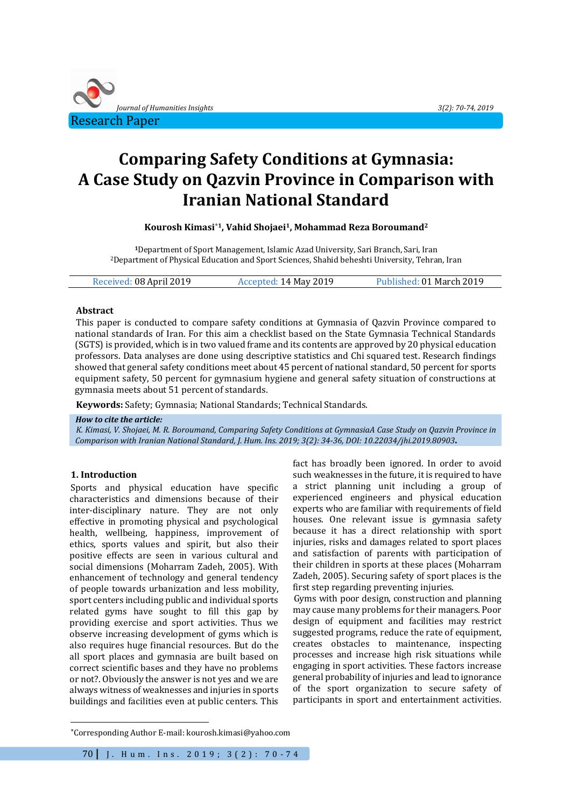

# **Comparing Safety Conditions at Gymnasia: A Case Study on Qazvin Province in Comparison with Iranian National Standard**

**Kourosh Kimasi\*<sup>1</sup>, Vahid Shojaei1, Mohammad Reza Boroumand<sup>2</sup>**

**<sup>1</sup>**Department of Sport Management, Islamic Azad University, Sari Branch, Sari, Iran <sup>2</sup>Department of Physical Education and Sport Sciences, Shahid beheshti University, Tehran, Iran

| Received: 08 April 2019 | Accepted: 14 May 2019 | Published: 01 March 2019 |
|-------------------------|-----------------------|--------------------------|
|                         |                       |                          |

# **Abstract**

This paper is conducted to compare safety conditions at Gymnasia of Qazvin Province compared to national standards of Iran. For this aim a checklist based on the State Gymnasia Technical Standards (SGTS) is provided, which is in two valued frame and its contents are approved by 20 physical education professors. Data analyses are done using descriptive statistics and Chi squared test. Research findings showed that general safety conditions meet about 45 percent of national standard, 50 percent for sports equipment safety, 50 percent for gymnasium hygiene and general safety situation of constructions at gymnasia meets about 51 percent of standards.

**Keywords:** Safety; Gymnasia; National Standards; Technical Standards.

#### *How to cite the article:*

*K. Kimasi, V. Shojaei, M. R. Boroumand, Comparing Safety Conditions at GymnasiaA Case Study on Qazvin Province in Comparison with Iranian National Standard, J. Hum. Ins. 2019; 3(2): 34-36, DOI: 10.22034/jhi.2019.80903***.**

# **1. Introduction**

 $\overline{a}$ 

Sports and physical education have specific characteristics and dimensions because of their inter-disciplinary nature. They are not only effective in promoting physical and psychological health, wellbeing, happiness, improvement of ethics, sports values and spirit, but also their positive effects are seen in various cultural and social dimensions (Moharram Zadeh, 2005). With enhancement of technology and general tendency of people towards urbanization and less mobility, sport centers including public and individual sports related gyms have sought to fill this gap by providing exercise and sport activities. Thus we observe increasing development of gyms which is also requires huge financial resources. But do the all sport places and gymnasia are built based on correct scientific bases and they have no problems or not?. Obviously the answer is not yes and we are always witness of weaknesses and injuries in sports buildings and facilities even at public centers. This

fact has broadly been ignored. In order to avoid such weaknesses in the future, it is required to have a strict planning unit including a group of experienced engineers and physical education experts who are familiar with requirements of field houses. One relevant issue is gymnasia safety because it has a direct relationship with sport injuries, risks and damages related to sport places and satisfaction of parents with participation of their children in sports at these places (Moharram Zadeh, 2005). Securing safety of sport places is the first step regarding preventing injuries.

Gyms with poor design, construction and planning may cause many problems for their managers. Poor design of equipment and facilities may restrict suggested programs, reduce the rate of equipment, creates obstacles to maintenance, inspecting processes and increase high risk situations while engaging in sport activities. These factors increase general probability of injuries and lead to ignorance of the sport organization to secure safety of participants in sport and entertainment activities.

<sup>\*</sup>Corresponding Author E-mail[: kourosh.kimasi@yahoo.com](mailto:kourosh.kimasi@yahoo.com)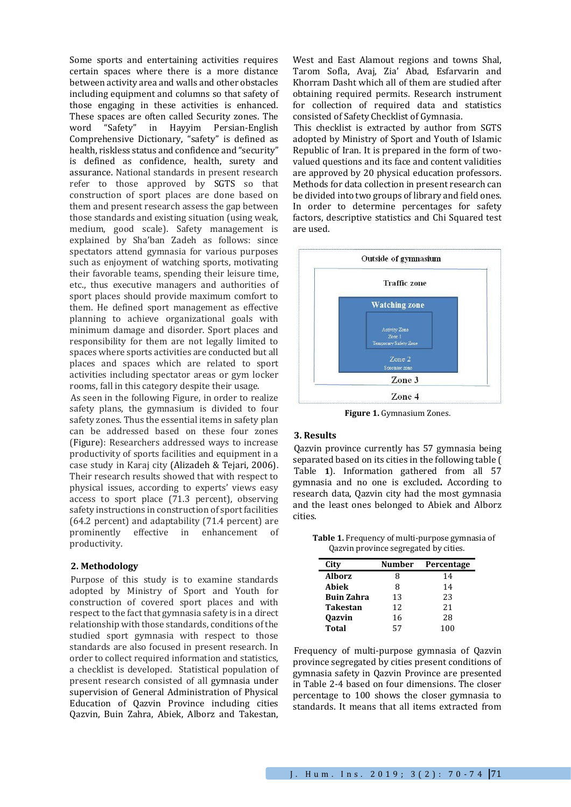Some sports and entertaining activities requires certain spaces where there is a more distance between activity area and walls and other obstacles including equipment and columns so that safety of those engaging in these activities is enhanced. These spaces are often called Security zones. The word "Safety" in Hayyim Persian-English Comprehensive Dictionary, "safety" is defined as health, riskless status and confidence and "security" is defined as confidence, health, surety and assurance. National standards in present research refer to those approved by SGTS so that construction of sport places are done based on them and present research assess the gap between those standards and existing situation (using weak, medium, good scale). Safety management is explained by Sha'ban Zadeh as follows: since spectators attend gymnasia for various purposes such as enjoyment of watching sports, motivating their favorable teams, spending their leisure time, etc., thus executive managers and authorities of sport places should provide maximum comfort to them. He defined sport management as effective planning to achieve organizational goals with minimum damage and disorder. Sport places and responsibility for them are not legally limited to spaces where sports activities are conducted but all places and spaces which are related to sport activities including spectator areas or gym locker rooms, fall in this category despite their usage.

As seen in the following Figure, in order to realize safety plans, the gymnasium is divided to four safety zones. Thus the essential items in safety plan can be addressed based on these four zones [\(Figure\)](#page-1-0): Researchers addressed ways to increase productivity of sports facilities and equipment in a case study in Karaj city (Alizadeh & Tejari, 2006). Their research results showed that with respect to physical issues, according to experts' views easy access to sport place (71.3 percent), observing safety instructions in construction of sport facilities (64.2 percent) and adaptability (71.4 percent) are prominently effective in enhancement of productivity.

#### **2. Methodology**

Purpose of this study is to examine standards adopted by Ministry of Sport and Youth for construction of covered sport places and with respect to the fact that gymnasia safety is in a direct relationship with those standards, conditions of the studied sport gymnasia with respect to those standards are also focused in present research. In order to collect required information and statistics, a checklist is developed. Statistical population of present research consisted of all gymnasia under supervision of General Administration of Physical Education of Qazvin Province including cities Qazvin, Buin Zahra, Abiek, Alborz and Takestan,

West and East Alamout regions and towns Shal, Tarom Sofla, Avaj, Zia' Abad, Esfarvarin and Khorram Dasht which all of them are studied after obtaining required permits. Research instrument for collection of required data and statistics consisted of Safety Checklist of Gymnasia.

This checklist is extracted by author from SGTS adopted by Ministry of Sport and Youth of Islamic Republic of Iran. It is prepared in the form of twovalued questions and its face and content validities are approved by 20 physical education professors. Methods for data collection in present research can be divided into two groups of library and field ones. In order to determine percentages for safety factors, descriptive statistics and Chi Squared test are used.



**Figure 1.** Gymnasium Zones.

## <span id="page-1-0"></span>**3. Results**

Qazvin province currently has 57 gymnasia being separated based on its cities in the following table [\(](#page-1-1) [Table](#page-1-1) **1**). Information gathered from all 57 gymnasia and no one is excluded**.** According to research data, Qazvin city had the most gymnasia and the least ones belonged to Abiek and Alborz cities.

<span id="page-1-1"></span>**Table 1.** Frequency of multi-purpose gymnasia of Qazvin province segregated by cities.

| City              | Number | Percentage |
|-------------------|--------|------------|
| <b>Alborz</b>     | 8      | 14         |
| Abiek             | 8      | 14         |
| <b>Buin Zahra</b> | 13     | 23         |
| <b>Takestan</b>   | 12     | 21         |
| <b>Qazvin</b>     | 16     | 28         |
| <b>Total</b>      | 57     | 100        |

Frequency of multi-purpose gymnasia of Qazvin province segregated by cities present conditions of gymnasia safety in Qazvin Province are presented in Table 2-4 based on four dimensions. The closer percentage to 100 shows the closer gymnasia to standards. It means that all items extracted from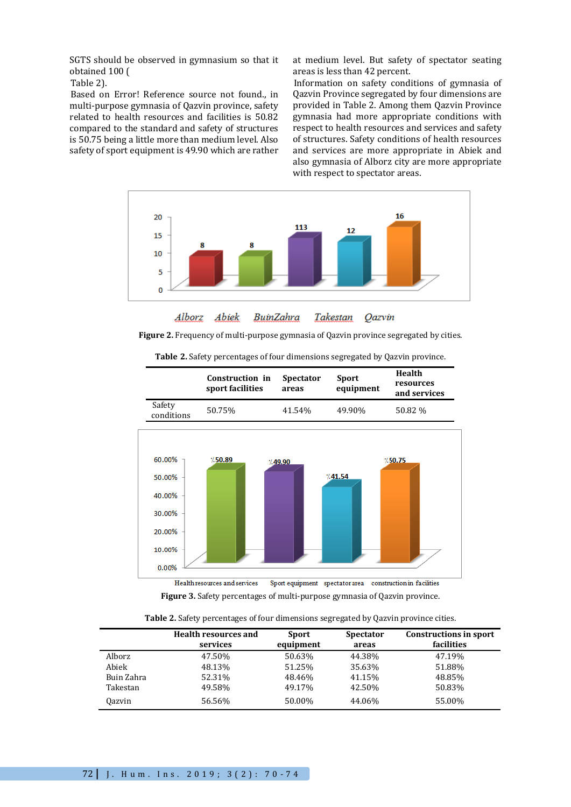SGTS should [be observed in gymnasium so that it](#page-2-0)  obtained 100 (

#### [Table](#page-2-0) 2).

Based on Error! Reference source not found., in multi-purpose gymnasia of Qazvin province, safety related to health resources and facilities is 50.82 compared to the standard and safety of structures is 50.75 being a little more than medium level. Also safety of sport equipment is 49.90 which are rather at medium level. But safety of spectator seating areas is less than 42 percent.

Information on safety conditions of gymnasia of Qazvin Province segregated by four dimensions are provided in [Table 2.](#page-2-1) Among them Qazvin Province gymnasia had more appropriate conditions with respect to health resources and services and safety of structures. Safety conditions of health resources and services are more appropriate in Abiek and also gymnasia of Alborz city are more appropriate with respect to spectator areas.



**Qazvin** Alborz Abiek BuinZahra Takestan

<span id="page-2-0"></span>**Figure 2.** Frequency of multi-purpose gymnasia of Qazvin province segregated by cities.

| <b>Table 2.</b> Safety percentages of four dimensions segregated by Qazvin province. |
|--------------------------------------------------------------------------------------|
|                                                                                      |



**Figure 3.** Safety percentages of multi-purpose gymnasia of Qazvin province.

**Table 2.** Safety percentages of four dimensions segregated by Qazvin province cities.

<span id="page-2-1"></span>

|               | <b>Health resources and</b><br>services | <b>Sport</b><br>equipment | <b>Spectator</b><br>areas | <b>Constructions in sport</b><br>facilities |
|---------------|-----------------------------------------|---------------------------|---------------------------|---------------------------------------------|
| Alborz        | 47.50%                                  | 50.63%                    | 44.38%                    | 47.19%                                      |
| Abiek         | 48.13%                                  | 51.25%                    | 35.63%                    | 51.88%                                      |
| Buin Zahra    | 52.31%                                  | 48.46%                    | 41.15%                    | 48.85%                                      |
| Takestan      | 49.58%                                  | 49.17%                    | 42.50%                    | 50.83%                                      |
| <b>Oazvin</b> | 56.56%                                  | 50.00%                    | 44.06%                    | 55.00%                                      |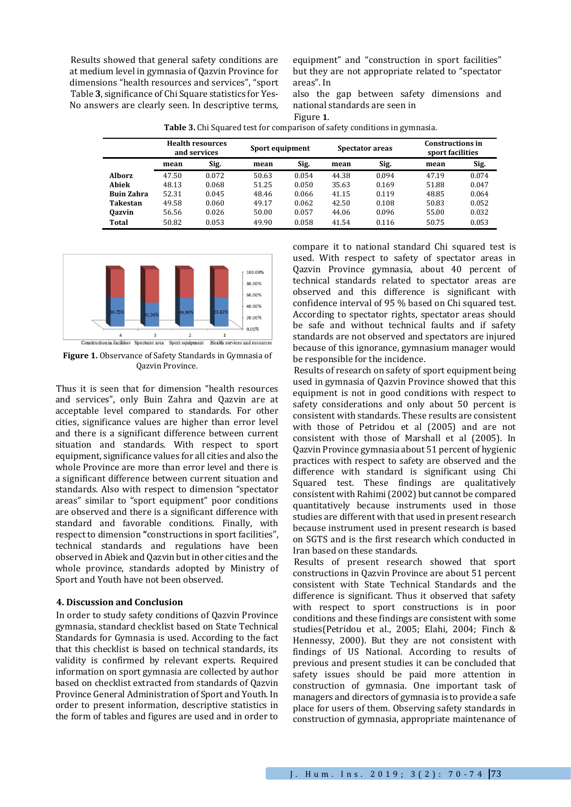Results showed that general safety conditions are at medium level in gymnasia of Qazvin Province for dimensions "health resources and services", "sport [Table](#page-3-0) **3**, significance of Chi Square statistics for Yes-No answers are clearly seen. In descriptive terms, equipment" and "construction in sport facilities" but they are not appropriate related to "spectator areas". I[n](#page-3-0) 

<span id="page-3-0"></span>also the gap between safety dimensions and national standards are seen in [Figure](#page-3-1) **1**.

| <b>Table 3.</b> Chi Squared test for comparison of safety conditions in gymnasia. |                 |                 |                                             |  |
|-----------------------------------------------------------------------------------|-----------------|-----------------|---------------------------------------------|--|
| <b>Health resources</b><br>and services                                           | Sport equipment | Spectator areas | <b>Constructions in</b><br>sport facilities |  |

|                   | and services |       | oport equipment |       | <b>SPECIALUI AL CAS</b> |       | sport facilities |       |
|-------------------|--------------|-------|-----------------|-------|-------------------------|-------|------------------|-------|
|                   | mean         | Sig.  | mean            | Sig.  | mean                    | Sig.  | mean             | Sig.  |
| <b>Alborz</b>     | 47.50        | 0.072 | 50.63           | 0.054 | 44.38                   | 0.094 | 47.19            | 0.074 |
| Abiek             | 48.13        | 0.068 | 51.25           | 0.050 | 35.63                   | 0.169 | 51.88            | 0.047 |
| <b>Buin Zahra</b> | 52.31        | 0.045 | 48.46           | 0.066 | 41.15                   | 0.119 | 48.85            | 0.064 |
| Takestan          | 49.58        | 0.060 | 49.17           | 0.062 | 42.50                   | 0.108 | 50.83            | 0.052 |
| <b>Oazvin</b>     | 56.56        | 0.026 | 50.00           | 0.057 | 44.06                   | 0.096 | 55.00            | 0.032 |
| Total             | 50.82        | 0.053 | 49.90           | 0.058 | 41.54                   | 0.116 | 50.75            | 0.053 |



<span id="page-3-1"></span>Construction in facilities Spectator area Sport equipment Health services and resources **Figure 1.** Observance of Safety Standards in Gymnasia of

Qazvin Province.

Thus it is seen that for dimension "health resources and services", only Buin Zahra and Qazvin are at acceptable level compared to standards. For other cities, significance values are higher than error level and there is a significant difference between current situation and standards. With respect to sport equipment, significance values for all cities and also the whole Province are more than error level and there is a significant difference between current situation and standards. Also with respect to dimension "spectator areas" similar to "sport equipment" poor conditions are observed and there is a significant difference with standard and favorable conditions. Finally, with respect to dimension **"**constructions in sport facilities", technical standards and regulations have been observed in Abiek and Qazvin but in other cities and the whole province, standards adopted by Ministry of Sport and Youth have not been observed.

# **4. Discussion and Conclusion**

In order to study safety conditions of Qazvin Province gymnasia, standard checklist based on State Technical Standards for Gymnasia is used. According to the fact that this checklist is based on technical standards, its validity is confirmed by relevant experts. Required information on sport gymnasia are collected by author based on checklist extracted from standards of Qazvin Province General Administration of Sport and Youth. In order to present information, descriptive statistics in the form of tables and figures are used and in order to

compare it to national standard Chi squared test is used. With respect to safety of spectator areas in Qazvin Province gymnasia, about 40 percent of technical standards related to spectator areas are observed and this difference is significant with confidence interval of 95 % based on Chi squared test. According to spectator rights, spectator areas should be safe and without technical faults and if safety standards are not observed and spectators are injured because of this ignorance, gymnasium manager would be responsible for the incidence.

Results of research on safety of sport equipment being used in gymnasia of Qazvin Province showed that this equipment is not in good conditions with respect to safety considerations and only about 50 percent is consistent with standards. These results are consistent with those of Petridou et al (2005) and are not consistent with those of Marshall et al (2005). In Qazvin Province gymnasia about 51 percent of hygienic practices with respect to safety are observed and the difference with standard is significant using Chi Squared test. These findings are qualitatively consistent with Rahimi (2002) but cannot be compared quantitatively because instruments used in those studies are different with that used in present research because instrument used in present research is based on SGTS and is the first research which conducted in Iran based on these standards.

Results of present research showed that sport constructions in Qazvin Province are about 51 percent consistent with State Technical Standards and the difference is significant. Thus it observed that safety with respect to sport constructions is in poor conditions and these findings are consistent with some studies(Petridou et al., 2005; Elahi, 2004; Finch & Hennessy, 2000). But they are not consistent with findings of US National. According to results of previous and present studies it can be concluded that safety issues should be paid more attention in construction of gymnasia. One important task of managers and directors of gymnasia is to provide a safe place for users of them. Observing safety standards in construction of gymnasia, appropriate maintenance of